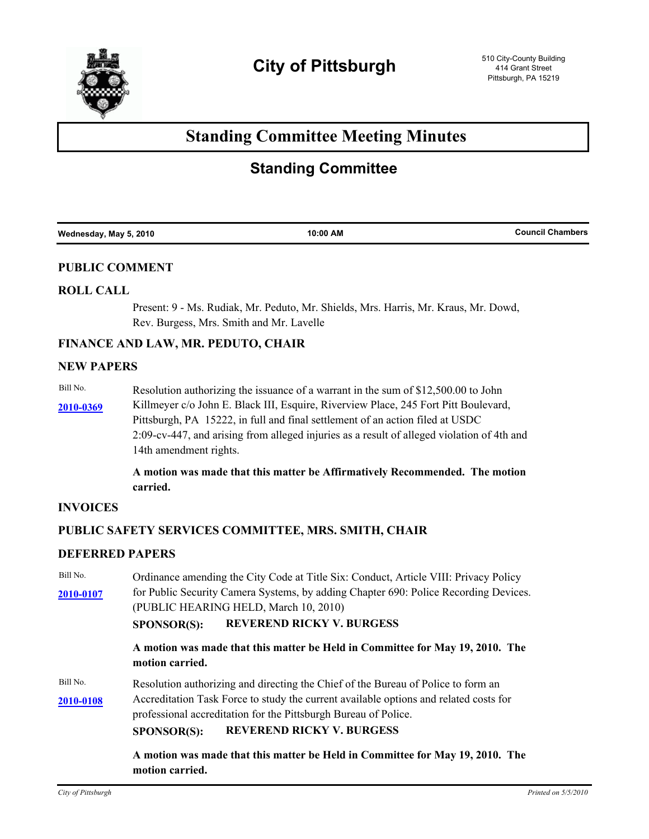

# **Standing Committee Meeting Minutes**

# **Standing Committee**

|--|

## **PUBLIC COMMENT**

## **ROLL CALL**

Present: 9 - Ms. Rudiak, Mr. Peduto, Mr. Shields, Mrs. Harris, Mr. Kraus, Mr. Dowd, Rev. Burgess, Mrs. Smith and Mr. Lavelle

## **FINANCE AND LAW, MR. PEDUTO, CHAIR**

## **NEW PAPERS**

Bill No. Resolution authorizing the issuance of a warrant in the sum of \$12,500.00 to John

[2010-0369](http://pittsburgh.legistar.com/gateway.aspx?M=L&ID=12905) Killmeyer c/o John E. Black III, Esquire, Riverview Place, 245 Fort Pitt Boulevard, Pittsburgh, PA 15222, in full and final settlement of an action filed at USDC 2:09-cv-447, and arising from alleged injuries as a result of alleged violation of 4th and 14th amendment rights.

> **A motion was made that this matter be Affirmatively Recommended. The motion carried.**

## **INVOICES**

## **PUBLIC SAFETY SERVICES COMMITTEE, MRS. SMITH, CHAIR**

## **DEFERRED PAPERS**

| Bill No.  | Ordinance amending the City Code at Title Six: Conduct, Article VIII: Privacy Policy             |  |  |  |  |
|-----------|--------------------------------------------------------------------------------------------------|--|--|--|--|
| 2010-0107 | for Public Security Camera Systems, by adding Chapter 690: Police Recording Devices.             |  |  |  |  |
|           | (PUBLIC HEARING HELD, March 10, 2010)                                                            |  |  |  |  |
|           | <b>REVEREND RICKY V. BURGESS</b><br><b>SPONSOR(S):</b>                                           |  |  |  |  |
|           | A motion was made that this matter be Held in Committee for May 19, 2010. The<br>motion carried. |  |  |  |  |
| Bill No.  | Resolution authorizing and directing the Chief of the Bureau of Police to form an                |  |  |  |  |
| 2010-0108 | Accreditation Task Force to study the current available options and related costs for            |  |  |  |  |
|           | professional accreditation for the Pittsburgh Bureau of Police.                                  |  |  |  |  |
|           | <b>REVEREND RICKY V. BURGESS</b><br><b>SPONSOR(S):</b>                                           |  |  |  |  |
|           | A motion was made that this matter be Held in Committee for May 19, 2010. The                    |  |  |  |  |

**motion carried.**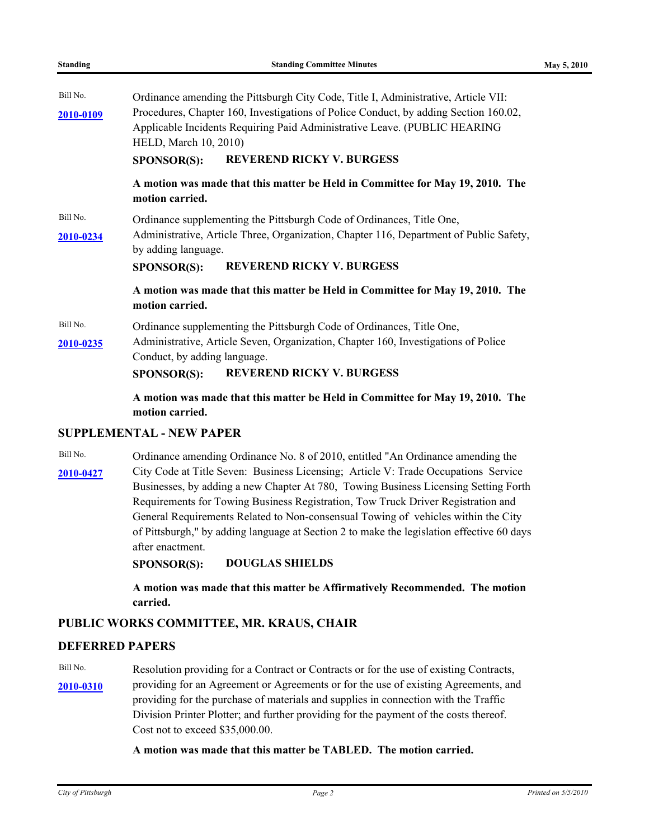| Bill No.<br>2010-0109 | Ordinance amending the Pittsburgh City Code, Title I, Administrative, Article VII:<br>Procedures, Chapter 160, Investigations of Police Conduct, by adding Section 160.02,<br>Applicable Incidents Requiring Paid Administrative Leave. (PUBLIC HEARING<br><b>HELD, March 10, 2010)</b><br><b>REVEREND RICKY V. BURGESS</b><br>SPONSOR(S): |
|-----------------------|--------------------------------------------------------------------------------------------------------------------------------------------------------------------------------------------------------------------------------------------------------------------------------------------------------------------------------------------|
|                       | A motion was made that this matter be Held in Committee for May 19, 2010. The<br>motion carried.                                                                                                                                                                                                                                           |
| Bill No.<br>2010-0234 | Ordinance supplementing the Pittsburgh Code of Ordinances, Title One,<br>Administrative, Article Three, Organization, Chapter 116, Department of Public Safety,<br>by adding language.<br><b>REVEREND RICKY V. BURGESS</b><br><b>SPONSOR(S):</b>                                                                                           |
|                       | A motion was made that this matter be Held in Committee for May 19, 2010. The<br>motion carried.                                                                                                                                                                                                                                           |
| Bill No.<br>2010-0235 | Ordinance supplementing the Pittsburgh Code of Ordinances, Title One,<br>Administrative, Article Seven, Organization, Chapter 160, Investigations of Police<br>Conduct, by adding language.<br><b>REVEREND RICKY V. BURGESS</b><br><b>SPONSOR(S):</b>                                                                                      |
|                       | A motion was made that this matter be Held in Committee for May 19, 2010. The<br>motion carried.                                                                                                                                                                                                                                           |

## **SUPPLEMENTAL - NEW PAPER**

Bill No. Ordinance amending Ordinance No. 8 of 2010, entitled "An Ordinance amending the [2010-0427](http://pittsburgh.legistar.com/gateway.aspx?M=L&ID=12964) City Code at Title Seven: Business Licensing; Article V: Trade Occupations Service Businesses, by adding a new Chapter At 780, Towing Business Licensing Setting Forth Requirements for Towing Business Registration, Tow Truck Driver Registration and General Requirements Related to Non-consensual Towing of vehicles within the City of Pittsburgh," by adding language at Section 2 to make the legislation effective 60 days after enactment.

## **SPONSOR(S): DOUGLAS SHIELDS**

**A motion was made that this matter be Affirmatively Recommended. The motion carried.**

## **PUBLIC WORKS COMMITTEE, MR. KRAUS, CHAIR**

## **DEFERRED PAPERS**

Bill No. Resolution providing for a Contract or Contracts or for the use of existing Contracts, [2010-0310](http://pittsburgh.legistar.com/gateway.aspx?M=L&ID=12842) providing for an Agreement or Agreements or for the use of existing Agreements, and providing for the purchase of materials and supplies in connection with the Traffic Division Printer Plotter; and further providing for the payment of the costs thereof. Cost not to exceed \$35,000.00.

### **A motion was made that this matter be TABLED. The motion carried.**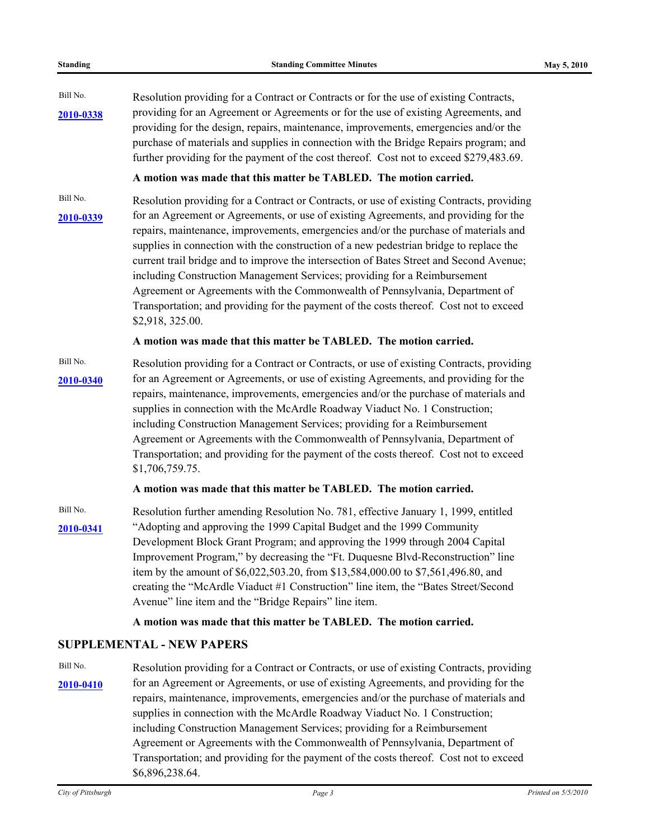| <b>Standing</b> |  |
|-----------------|--|
|-----------------|--|

Bill No. Resolution providing for a Contract or Contracts or for the use of existing Contracts, providing for an Agreement or Agreements or for the use of existing Agreements, and **[2010-0338](http://pittsburgh.legistar.com/gateway.aspx?M=L&ID=12872)** providing for the design, repairs, maintenance, improvements, emergencies and/or the purchase of materials and supplies in connection with the Bridge Repairs program; and further providing for the payment of the cost thereof. Cost not to exceed \$279,483.69.

## **A motion was made that this matter be TABLED. The motion carried.**

Bill No. Resolution providing for a Contract or Contracts, or use of existing Contracts, providing [2010-0339](http://pittsburgh.legistar.com/gateway.aspx?M=L&ID=12873) for an Agreement or Agreements, or use of existing Agreements, and providing for the repairs, maintenance, improvements, emergencies and/or the purchase of materials and supplies in connection with the construction of a new pedestrian bridge to replace the current trail bridge and to improve the intersection of Bates Street and Second Avenue; including Construction Management Services; providing for a Reimbursement Agreement or Agreements with the Commonwealth of Pennsylvania, Department of Transportation; and providing for the payment of the costs thereof. Cost not to exceed \$2,918, 325.00.

### **A motion was made that this matter be TABLED. The motion carried.**

Bill No. Resolution providing for a Contract or Contracts, or use of existing Contracts, providing [2010-0340](http://pittsburgh.legistar.com/gateway.aspx?M=L&ID=12874) for an Agreement or Agreements, or use of existing Agreements, and providing for the repairs, maintenance, improvements, emergencies and/or the purchase of materials and supplies in connection with the McArdle Roadway Viaduct No. 1 Construction; including Construction Management Services; providing for a Reimbursement Agreement or Agreements with the Commonwealth of Pennsylvania, Department of Transportation; and providing for the payment of the costs thereof. Cost not to exceed \$1,706,759.75.

## **A motion was made that this matter be TABLED. The motion carried.**

Bill No. Resolution further amending Resolution No. 781, effective January 1, 1999, entitled "Adopting and approving the 1999 Capital Budget and the 1999 Community **[2010-0341](http://pittsburgh.legistar.com/gateway.aspx?M=L&ID=12875)** Development Block Grant Program; and approving the 1999 through 2004 Capital Improvement Program," by decreasing the "Ft. Duquesne Blvd-Reconstruction" line item by the amount of \$6,022,503.20, from \$13,584,000.00 to \$7,561,496.80, and creating the "McArdle Viaduct #1 Construction" line item, the "Bates Street/Second Avenue" line item and the "Bridge Repairs" line item.

## **A motion was made that this matter be TABLED. The motion carried.**

## **SUPPLEMENTAL - NEW PAPERS**

Bill No. Resolution providing for a Contract or Contracts, or use of existing Contracts, providing [2010-0410](http://pittsburgh.legistar.com/gateway.aspx?M=L&ID=12947) for an Agreement or Agreements, or use of existing Agreements, and providing for the repairs, maintenance, improvements, emergencies and/or the purchase of materials and supplies in connection with the McArdle Roadway Viaduct No. 1 Construction; including Construction Management Services; providing for a Reimbursement Agreement or Agreements with the Commonwealth of Pennsylvania, Department of Transportation; and providing for the payment of the costs thereof. Cost not to exceed \$6,896,238.64.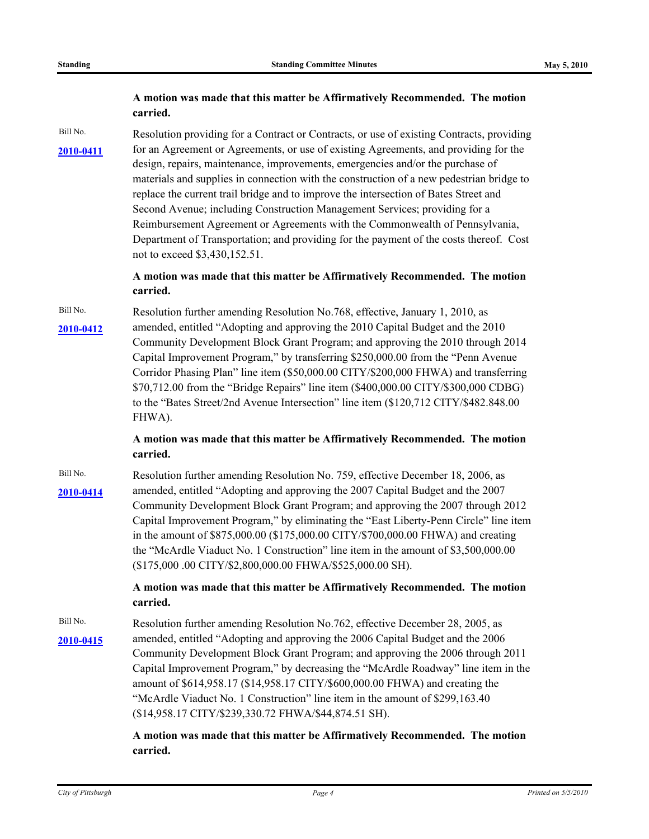## **A motion was made that this matter be Affirmatively Recommended. The motion carried.**

Bill No. Resolution providing for a Contract or Contracts, or use of existing Contracts, providing

[2010-0411](http://pittsburgh.legistar.com/gateway.aspx?M=L&ID=12948) for an Agreement or Agreements, or use of existing Agreements, and providing for the design, repairs, maintenance, improvements, emergencies and/or the purchase of materials and supplies in connection with the construction of a new pedestrian bridge to replace the current trail bridge and to improve the intersection of Bates Street and Second Avenue; including Construction Management Services; providing for a Reimbursement Agreement or Agreements with the Commonwealth of Pennsylvania, Department of Transportation; and providing for the payment of the costs thereof. Cost

not to exceed \$3,430,152.51.

**A motion was made that this matter be Affirmatively Recommended. The motion carried.**

Bill No. Resolution further amending Resolution No.768, effective, January 1, 2010, as amended, entitled "Adopting and approving the 2010 Capital Budget and the 2010 **[2010-0412](http://pittsburgh.legistar.com/gateway.aspx?M=L&ID=12949)** Community Development Block Grant Program; and approving the 2010 through 2014 Capital Improvement Program," by transferring \$250,000.00 from the "Penn Avenue Corridor Phasing Plan" line item (\$50,000.00 CITY/\$200,000 FHWA) and transferring \$70,712.00 from the "Bridge Repairs" line item (\$400,000.00 CITY/\$300,000 CDBG) to the "Bates Street/2nd Avenue Intersection" line item (\$120,712 CITY/\$482.848.00 FHWA).

> **A motion was made that this matter be Affirmatively Recommended. The motion carried.**

Bill No. Resolution further amending Resolution No. 759, effective December 18, 2006, as amended, entitled "Adopting and approving the 2007 Capital Budget and the 2007 **[2010-0414](http://pittsburgh.legistar.com/gateway.aspx?M=L&ID=12951)** Community Development Block Grant Program; and approving the 2007 through 2012 Capital Improvement Program," by eliminating the "East Liberty-Penn Circle" line item in the amount of \$875,000.00 (\$175,000.00 CITY/\$700,000.00 FHWA) and creating the "McArdle Viaduct No. 1 Construction" line item in the amount of \$3,500,000.00 (\$175,000 .00 CITY/\$2,800,000.00 FHWA/\$525,000.00 SH).

> **A motion was made that this matter be Affirmatively Recommended. The motion carried.**

Bill No. Resolution further amending Resolution No. 762, effective December 28, 2005, as amended, entitled "Adopting and approving the 2006 Capital Budget and the 2006 **[2010-0415](http://pittsburgh.legistar.com/gateway.aspx?M=L&ID=12952)** Community Development Block Grant Program; and approving the 2006 through 2011 Capital Improvement Program," by decreasing the "McArdle Roadway" line item in the amount of \$614,958.17 (\$14,958.17 CITY/\$600,000.00 FHWA) and creating the "McArdle Viaduct No. 1 Construction" line item in the amount of \$299,163.40 (\$14,958.17 CITY/\$239,330.72 FHWA/\$44,874.51 SH).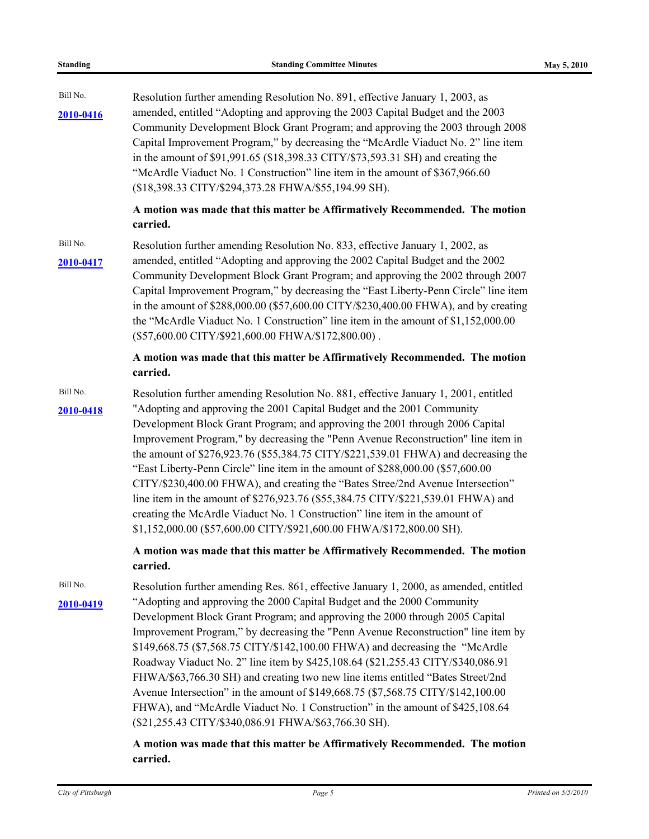| <b>Standing</b>       | <b>Standing Committee Minutes</b>                                                                                                                                                                                                                                                                                                                                                                                                                                                                                                                                                                                                                                                                                                                                                                                                          | May 5, 2010 |
|-----------------------|--------------------------------------------------------------------------------------------------------------------------------------------------------------------------------------------------------------------------------------------------------------------------------------------------------------------------------------------------------------------------------------------------------------------------------------------------------------------------------------------------------------------------------------------------------------------------------------------------------------------------------------------------------------------------------------------------------------------------------------------------------------------------------------------------------------------------------------------|-------------|
| Bill No.<br>2010-0416 | Resolution further amending Resolution No. 891, effective January 1, 2003, as<br>amended, entitled "Adopting and approving the 2003 Capital Budget and the 2003<br>Community Development Block Grant Program; and approving the 2003 through 2008<br>Capital Improvement Program," by decreasing the "McArdle Viaduct No. 2" line item<br>in the amount of \$91,991.65 (\$18,398.33 CITY/\$73,593.31 SH) and creating the<br>"McArdle Viaduct No. 1 Construction" line item in the amount of \$367,966.60<br>(\$18,398.33 CITY/\$294,373.28 FHWA/\$55,194.99 SH).                                                                                                                                                                                                                                                                          |             |
|                       | A motion was made that this matter be Affirmatively Recommended. The motion<br>carried.                                                                                                                                                                                                                                                                                                                                                                                                                                                                                                                                                                                                                                                                                                                                                    |             |
| Bill No.<br>2010-0417 | Resolution further amending Resolution No. 833, effective January 1, 2002, as<br>amended, entitled "Adopting and approving the 2002 Capital Budget and the 2002<br>Community Development Block Grant Program; and approving the 2002 through 2007<br>Capital Improvement Program," by decreasing the "East Liberty-Penn Circle" line item<br>in the amount of $$288,000.00$ (\$57,600.00 CITY/\$230,400.00 FHWA), and by creating<br>the "McArdle Viaduct No. 1 Construction" line item in the amount of \$1,152,000.00<br>(\$57,600.00 CITY/\$921,600.00 FHWA/\$172,800.00).                                                                                                                                                                                                                                                              |             |
|                       | A motion was made that this matter be Affirmatively Recommended. The motion<br>carried.                                                                                                                                                                                                                                                                                                                                                                                                                                                                                                                                                                                                                                                                                                                                                    |             |
| Bill No.<br>2010-0418 | Resolution further amending Resolution No. 881, effective January 1, 2001, entitled<br>"Adopting and approving the 2001 Capital Budget and the 2001 Community<br>Development Block Grant Program; and approving the 2001 through 2006 Capital<br>Improvement Program," by decreasing the "Penn Avenue Reconstruction" line item in<br>the amount of \$276,923.76 (\$55,384.75 CITY/\$221,539.01 FHWA) and decreasing the<br>"East Liberty-Penn Circle" line item in the amount of \$288,000.00 (\$57,600.00)<br>CITY/\$230,400.00 FHWA), and creating the "Bates Stree/2nd Avenue Intersection"<br>line item in the amount of \$276,923.76 (\$55,384.75 CITY/\$221,539.01 FHWA) and<br>creating the McArdle Viaduct No. 1 Construction" line item in the amount of<br>\$1,152,000.00 (\$57,600.00 CITY/\$921,600.00 FHWA/\$172,800.00 SH). |             |
|                       | A motion was made that this matter be Affirmatively Recommended. The motion<br>carried.                                                                                                                                                                                                                                                                                                                                                                                                                                                                                                                                                                                                                                                                                                                                                    |             |
| Bill No.<br>2010-0419 | Resolution further amending Res. 861, effective January 1, 2000, as amended, entitled<br>"Adopting and approving the 2000 Capital Budget and the 2000 Community<br>Development Block Grant Program; and approving the 2000 through 2005 Capital<br>Improvement Program," by decreasing the "Penn Avenue Reconstruction" line item by<br>\$149,668.75 (\$7,568.75 CITY/\$142,100.00 FHWA) and decreasing the "McArdle"<br>Roadway Viaduct No. 2" line item by \$425,108.64 (\$21,255.43 CITY/\$340,086.91<br>FHWA/\$63,766.30 SH) and creating two new line items entitled "Bates Street/2nd<br>Avenue Intersection" in the amount of \$149,668.75 (\$7,568.75 CITY/\$142,100.00<br>FHWA), and "McArdle Viaduct No. 1 Construction" in the amount of \$425,108.64<br>(\$21,255.43 CITY/\$340,086.91 FHWA/\$63,766.30 SH).                   |             |
|                       | A motion was made that this matter be Affirmatively Recommended. The motion<br>carried.                                                                                                                                                                                                                                                                                                                                                                                                                                                                                                                                                                                                                                                                                                                                                    |             |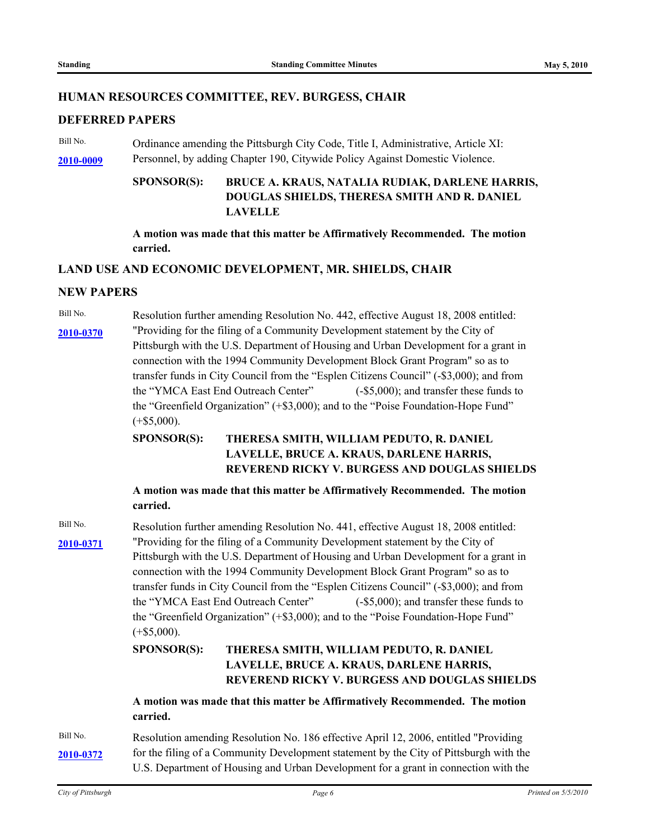## **HUMAN RESOURCES COMMITTEE, REV. BURGESS, CHAIR**

#### **DEFERRED PAPERS**

Bill No. Cordinance amending the Pittsburgh City Code, Title I, Administrative, Article XI: **[2010-0009](http://pittsburgh.legistar.com/gateway.aspx?M=L&ID=12505)** Personnel, by adding Chapter 190, Citywide Policy Against Domestic Violence.

#### **BRUCE A. KRAUS, NATALIA RUDIAK, DARLENE HARRIS, DOUGLAS SHIELDS, THERESA SMITH AND R. DANIEL LAVELLE SPONSOR(S):**

**A motion was made that this matter be Affirmatively Recommended. The motion carried.**

## **LAND USE AND ECONOMIC DEVELOPMENT, MR. SHIELDS, CHAIR**

#### **NEW PAPERS**

Bill No. Resolution further amending Resolution No. 442, effective August 18, 2008 entitled: "Providing for the filing of a Community Development statement by the City of **[2010-0370](http://pittsburgh.legistar.com/gateway.aspx?M=L&ID=12906)** Pittsburgh with the U.S. Department of Housing and Urban Development for a grant in connection with the 1994 Community Development Block Grant Program" so as to transfer funds in City Council from the "Esplen Citizens Council" (-\$3,000); and from the "YMCA East End Outreach Center" (-\$5,000); and transfer these funds to the "Greenfield Organization" (+\$3,000); and to the "Poise Foundation-Hope Fund"  $(+\$5,000)$ .

#### **THERESA SMITH, WILLIAM PEDUTO, R. DANIEL LAVELLE, BRUCE A. KRAUS, DARLENE HARRIS, REVEREND RICKY V. BURGESS AND DOUGLAS SHIELDS SPONSOR(S):**

**A motion was made that this matter be Affirmatively Recommended. The motion carried.**

Bill No. Resolution further amending Resolution No. 441, effective August 18, 2008 entitled: "Providing for the filing of a Community Development statement by the City of **[2010-0371](http://pittsburgh.legistar.com/gateway.aspx?M=L&ID=12907)** Pittsburgh with the U.S. Department of Housing and Urban Development for a grant in connection with the 1994 Community Development Block Grant Program" so as to transfer funds in City Council from the "Esplen Citizens Council" (-\$3,000); and from the "YMCA East End Outreach Center" (-\$5,000); and transfer these funds to the "Greenfield Organization" (+\$3,000); and to the "Poise Foundation-Hope Fund"  $(+\$5,000)$ .

#### **THERESA SMITH, WILLIAM PEDUTO, R. DANIEL LAVELLE, BRUCE A. KRAUS, DARLENE HARRIS, REVEREND RICKY V. BURGESS AND DOUGLAS SHIELDS SPONSOR(S):**

**A motion was made that this matter be Affirmatively Recommended. The motion carried.**

Bill No. Resolution amending Resolution No. 186 effective April 12, 2006, entitled "Providing [2010-0372](http://pittsburgh.legistar.com/gateway.aspx?M=L&ID=12908) for the filing of a Community Development statement by the City of Pittsburgh with the U.S. Department of Housing and Urban Development for a grant in connection with the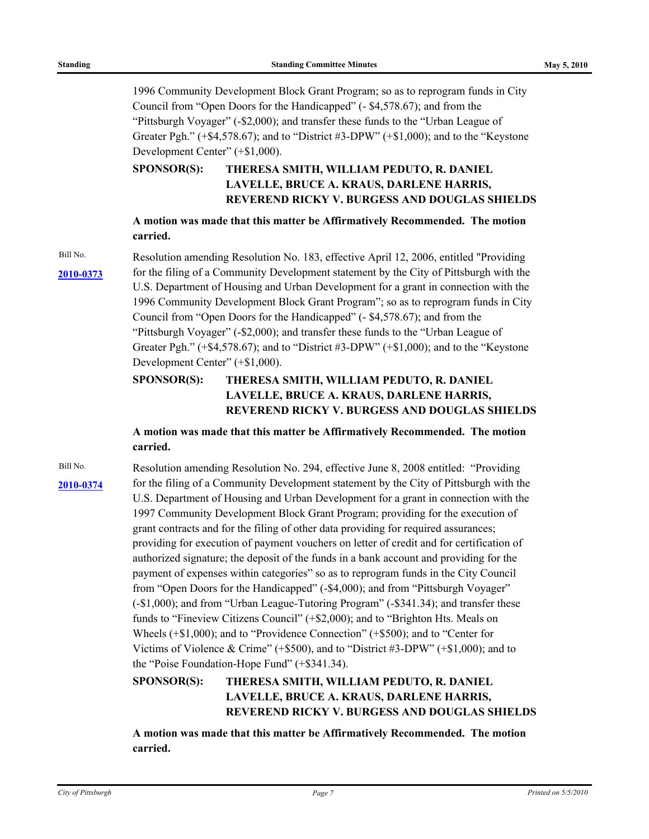1996 Community Development Block Grant Program; so as to reprogram funds in City Council from "Open Doors for the Handicapped" (- \$4,578.67); and from the "Pittsburgh Voyager" (-\$2,000); and transfer these funds to the "Urban League of Greater Pgh." (+\$4,578.67); and to "District #3-DPW" (+\$1,000); and to the "Keystone Development Center" (+\$1,000).

#### **THERESA SMITH, WILLIAM PEDUTO, R. DANIEL LAVELLE, BRUCE A. KRAUS, DARLENE HARRIS, REVEREND RICKY V. BURGESS AND DOUGLAS SHIELDS SPONSOR(S):**

**A motion was made that this matter be Affirmatively Recommended. The motion carried.**

Bill No. Resolution amending Resolution No. 183, effective April 12, 2006, entitled "Providing" [2010-0373](http://pittsburgh.legistar.com/gateway.aspx?M=L&ID=12909) for the filing of a Community Development statement by the City of Pittsburgh with the U.S. Department of Housing and Urban Development for a grant in connection with the 1996 Community Development Block Grant Program"; so as to reprogram funds in City Council from "Open Doors for the Handicapped" (- \$4,578.67); and from the "Pittsburgh Voyager" (-\$2,000); and transfer these funds to the "Urban League of Greater Pgh." (+\$4,578.67); and to "District #3-DPW" (+\$1,000); and to the "Keystone Development Center" (+\$1,000).

#### **THERESA SMITH, WILLIAM PEDUTO, R. DANIEL LAVELLE, BRUCE A. KRAUS, DARLENE HARRIS, REVEREND RICKY V. BURGESS AND DOUGLAS SHIELDS SPONSOR(S):**

**A motion was made that this matter be Affirmatively Recommended. The motion carried.**

Bill No. Resolution amending Resolution No. 294, effective June 8, 2008 entitled: "Providing" [2010-0374](http://pittsburgh.legistar.com/gateway.aspx?M=L&ID=12910) for the filing of a Community Development statement by the City of Pittsburgh with the U.S. Department of Housing and Urban Development for a grant in connection with the 1997 Community Development Block Grant Program; providing for the execution of grant contracts and for the filing of other data providing for required assurances; providing for execution of payment vouchers on letter of credit and for certification of authorized signature; the deposit of the funds in a bank account and providing for the payment of expenses within categories" so as to reprogram funds in the City Council from "Open Doors for the Handicapped" (-\$4,000); and from "Pittsburgh Voyager" (-\$1,000); and from "Urban League-Tutoring Program" (-\$341.34); and transfer these funds to "Fineview Citizens Council" (+\$2,000); and to "Brighton Hts. Meals on Wheels (+\$1,000); and to "Providence Connection" (+\$500); and to "Center for Victims of Violence & Crime" (+\$500), and to "District #3-DPW" (+\$1,000); and to the "Poise Foundation-Hope Fund" (+\$341.34).

#### **THERESA SMITH, WILLIAM PEDUTO, R. DANIEL LAVELLE, BRUCE A. KRAUS, DARLENE HARRIS, REVEREND RICKY V. BURGESS AND DOUGLAS SHIELDS SPONSOR(S):**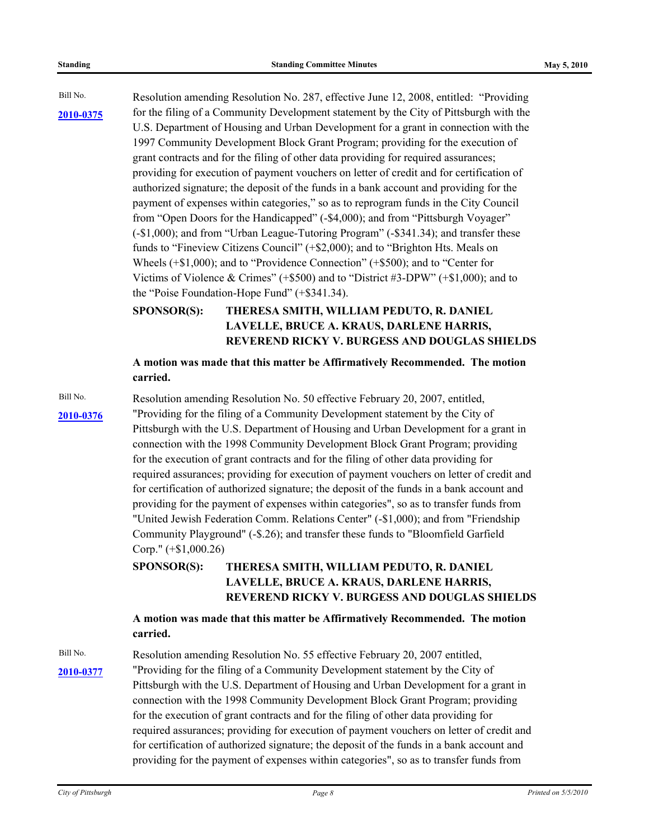Bill No. Resolution amending Resolution No. 287, effective June 12, 2008, entitled: "Providing [2010-0375](http://pittsburgh.legistar.com/gateway.aspx?M=L&ID=12911) for the filing of a Community Development statement by the City of Pittsburgh with the U.S. Department of Housing and Urban Development for a grant in connection with the 1997 Community Development Block Grant Program; providing for the execution of grant contracts and for the filing of other data providing for required assurances; providing for execution of payment vouchers on letter of credit and for certification of authorized signature; the deposit of the funds in a bank account and providing for the payment of expenses within categories," so as to reprogram funds in the City Council from "Open Doors for the Handicapped" (-\$4,000); and from "Pittsburgh Voyager" (-\$1,000); and from "Urban League-Tutoring Program" (-\$341.34); and transfer these funds to "Fineview Citizens Council" (+\$2,000); and to "Brighton Hts. Meals on Wheels (+\$1,000); and to "Providence Connection" (+\$500); and to "Center for Victims of Violence & Crimes" (+\$500) and to "District #3-DPW" (+\$1,000); and to the "Poise Foundation-Hope Fund" (+\$341.34).

#### **THERESA SMITH, WILLIAM PEDUTO, R. DANIEL LAVELLE, BRUCE A. KRAUS, DARLENE HARRIS, REVEREND RICKY V. BURGESS AND DOUGLAS SHIELDS SPONSOR(S):**

**A motion was made that this matter be Affirmatively Recommended. The motion carried.**

Bill No. Resolution amending Resolution No. 50 effective February 20, 2007, entitled, "Providing for the filing of a Community Development statement by the City of **[2010-0376](http://pittsburgh.legistar.com/gateway.aspx?M=L&ID=12912)** Pittsburgh with the U.S. Department of Housing and Urban Development for a grant in connection with the 1998 Community Development Block Grant Program; providing for the execution of grant contracts and for the filing of other data providing for required assurances; providing for execution of payment vouchers on letter of credit and for certification of authorized signature; the deposit of the funds in a bank account and providing for the payment of expenses within categories", so as to transfer funds from "United Jewish Federation Comm. Relations Center" (-\$1,000); and from "Friendship Community Playground" (-\$.26); and transfer these funds to "Bloomfield Garfield Corp." (+\$1,000.26)

> **THERESA SMITH, WILLIAM PEDUTO, R. DANIEL LAVELLE, BRUCE A. KRAUS, DARLENE HARRIS, REVEREND RICKY V. BURGESS AND DOUGLAS SHIELDS SPONSOR(S):**

**A motion was made that this matter be Affirmatively Recommended. The motion carried.**

Bill No. Resolution amending Resolution No. 55 effective February 20, 2007 entitled, "Providing for the filing of a Community Development statement by the City of **[2010-0377](http://pittsburgh.legistar.com/gateway.aspx?M=L&ID=12913)** Pittsburgh with the U.S. Department of Housing and Urban Development for a grant in connection with the 1998 Community Development Block Grant Program; providing for the execution of grant contracts and for the filing of other data providing for required assurances; providing for execution of payment vouchers on letter of credit and for certification of authorized signature; the deposit of the funds in a bank account and providing for the payment of expenses within categories", so as to transfer funds from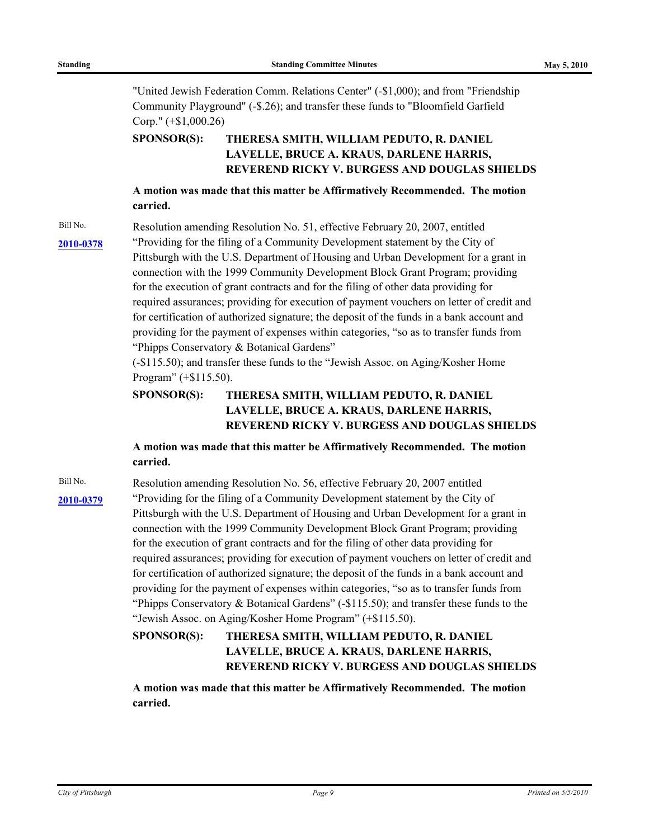"United Jewish Federation Comm. Relations Center" (-\$1,000); and from "Friendship Community Playground" (-\$.26); and transfer these funds to "Bloomfield Garfield Corp." (+\$1,000.26)

#### **THERESA SMITH, WILLIAM PEDUTO, R. DANIEL LAVELLE, BRUCE A. KRAUS, DARLENE HARRIS, REVEREND RICKY V. BURGESS AND DOUGLAS SHIELDS SPONSOR(S):**

## **A motion was made that this matter be Affirmatively Recommended. The motion carried.**

Bill No. Resolution amending Resolution No. 51, effective February 20, 2007, entitled [2010-0378](http://pittsburgh.legistar.com/gateway.aspx?M=L&ID=12914) <sup>"</sup>Providing for the filing of a Community Development statement by the City of Pittsburgh with the U.S. Department of Housing and Urban Development for a grant in connection with the 1999 Community Development Block Grant Program; providing for the execution of grant contracts and for the filing of other data providing for required assurances; providing for execution of payment vouchers on letter of credit and for certification of authorized signature; the deposit of the funds in a bank account and providing for the payment of expenses within categories, "so as to transfer funds from "Phipps Conservatory & Botanical Gardens"

> (-\$115.50); and transfer these funds to the "Jewish Assoc. on Aging/Kosher Home Program" (+\$115.50).

#### **THERESA SMITH, WILLIAM PEDUTO, R. DANIEL LAVELLE, BRUCE A. KRAUS, DARLENE HARRIS, REVEREND RICKY V. BURGESS AND DOUGLAS SHIELDS SPONSOR(S):**

## **A motion was made that this matter be Affirmatively Recommended. The motion carried.**

Bill No. Resolution amending Resolution No. 56, effective February 20, 2007 entitled [2010-0379](http://pittsburgh.legistar.com/gateway.aspx?M=L&ID=12915) <sup>"</sup>Providing for the filing of a Community Development statement by the City of Pittsburgh with the U.S. Department of Housing and Urban Development for a grant in connection with the 1999 Community Development Block Grant Program; providing for the execution of grant contracts and for the filing of other data providing for required assurances; providing for execution of payment vouchers on letter of credit and for certification of authorized signature; the deposit of the funds in a bank account and providing for the payment of expenses within categories, "so as to transfer funds from "Phipps Conservatory & Botanical Gardens" (-\$115.50); and transfer these funds to the "Jewish Assoc. on Aging/Kosher Home Program" (+\$115.50).

#### **THERESA SMITH, WILLIAM PEDUTO, R. DANIEL LAVELLE, BRUCE A. KRAUS, DARLENE HARRIS, REVEREND RICKY V. BURGESS AND DOUGLAS SHIELDS SPONSOR(S):**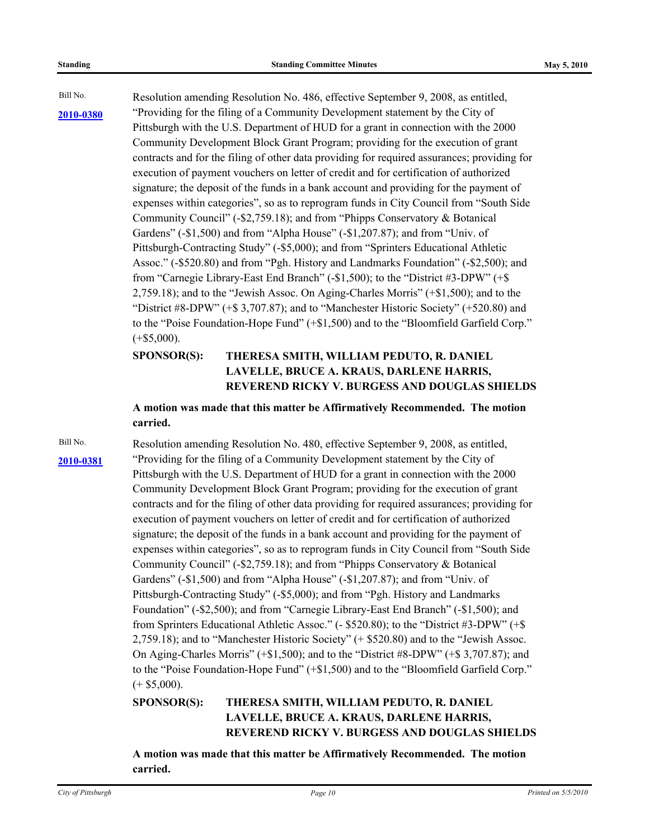Bill No. Resolution amending Resolution No. 486, effective September 9, 2008, as entitled, [2010-0380](http://pittsburgh.legistar.com/gateway.aspx?M=L&ID=12916) <sup>"</sup>Providing for the filing of a Community Development statement by the City of Pittsburgh with the U.S. Department of HUD for a grant in connection with the 2000 Community Development Block Grant Program; providing for the execution of grant contracts and for the filing of other data providing for required assurances; providing for execution of payment vouchers on letter of credit and for certification of authorized signature; the deposit of the funds in a bank account and providing for the payment of expenses within categories", so as to reprogram funds in City Council from "South Side Community Council" (-\$2,759.18); and from "Phipps Conservatory & Botanical Gardens" (-\$1,500) and from "Alpha House" (-\$1,207.87); and from "Univ. of Pittsburgh-Contracting Study" (-\$5,000); and from "Sprinters Educational Athletic Assoc." (-\$520.80) and from "Pgh. History and Landmarks Foundation" (-\$2,500); and from "Carnegie Library-East End Branch" (-\$1,500); to the "District #3-DPW" (+\$ 2,759.18); and to the "Jewish Assoc. On Aging-Charles Morris" (+\$1,500); and to the "District  $#8-DPW" (+\$ 3,707.87)$ ; and to "Manchester Historic Society" (+520.80) and to the "Poise Foundation-Hope Fund" (+\$1,500) and to the "Bloomfield Garfield Corp."  $(+\$5,000)$ .

#### **THERESA SMITH, WILLIAM PEDUTO, R. DANIEL LAVELLE, BRUCE A. KRAUS, DARLENE HARRIS, REVEREND RICKY V. BURGESS AND DOUGLAS SHIELDS SPONSOR(S):**

**A motion was made that this matter be Affirmatively Recommended. The motion carried.**

Bill No. Resolution amending Resolution No. 480, effective September 9, 2008, as entitled, [2010-0381](http://pittsburgh.legistar.com/gateway.aspx?M=L&ID=12917) <sup>"</sup>Providing for the filing of a Community Development statement by the City of Pittsburgh with the U.S. Department of HUD for a grant in connection with the 2000 Community Development Block Grant Program; providing for the execution of grant contracts and for the filing of other data providing for required assurances; providing for execution of payment vouchers on letter of credit and for certification of authorized signature; the deposit of the funds in a bank account and providing for the payment of expenses within categories", so as to reprogram funds in City Council from "South Side Community Council" (-\$2,759.18); and from "Phipps Conservatory & Botanical Gardens" (-\$1,500) and from "Alpha House" (-\$1,207.87); and from "Univ. of Pittsburgh-Contracting Study" (-\$5,000); and from "Pgh. History and Landmarks Foundation" (-\$2,500); and from "Carnegie Library-East End Branch" (-\$1,500); and from Sprinters Educational Athletic Assoc." (- \$520.80); to the "District #3-DPW" (+\$ 2,759.18); and to "Manchester Historic Society" (+ \$520.80) and to the "Jewish Assoc. On Aging-Charles Morris" (+\$1,500); and to the "District #8-DPW" (+\$ 3,707.87); and to the "Poise Foundation-Hope Fund" (+\$1,500) and to the "Bloomfield Garfield Corp."  $(+ $5,000)$ .

#### **THERESA SMITH, WILLIAM PEDUTO, R. DANIEL LAVELLE, BRUCE A. KRAUS, DARLENE HARRIS, REVEREND RICKY V. BURGESS AND DOUGLAS SHIELDS SPONSOR(S):**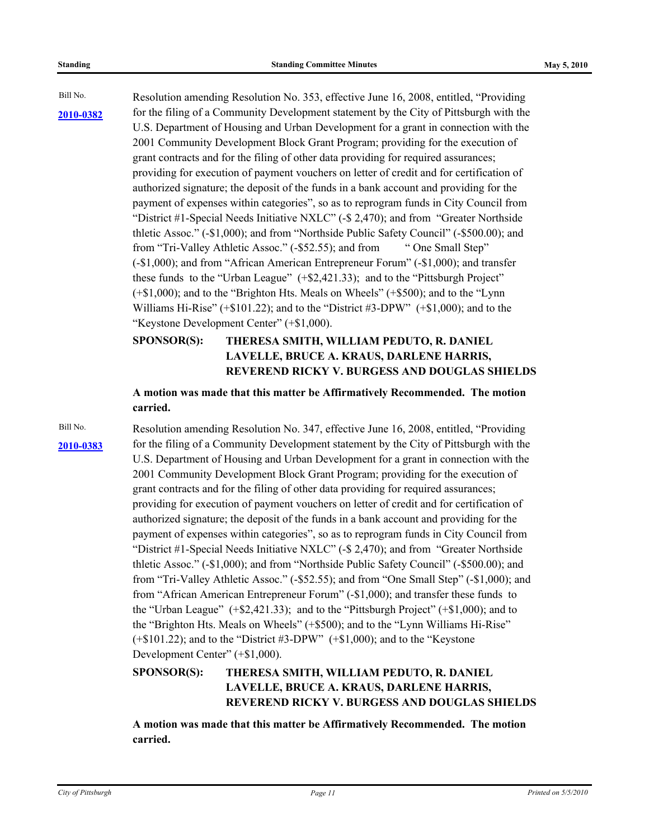Bill No. Resolution amending Resolution No. 353, effective June 16, 2008, entitled, "Providing [2010-0382](http://pittsburgh.legistar.com/gateway.aspx?M=L&ID=12918) for the filing of a Community Development statement by the City of Pittsburgh with the U.S. Department of Housing and Urban Development for a grant in connection with the 2001 Community Development Block Grant Program; providing for the execution of grant contracts and for the filing of other data providing for required assurances; providing for execution of payment vouchers on letter of credit and for certification of authorized signature; the deposit of the funds in a bank account and providing for the payment of expenses within categories", so as to reprogram funds in City Council from "District #1-Special Needs Initiative NXLC" (-\$ 2,470); and from "Greater Northside thletic Assoc." (-\$1,000); and from "Northside Public Safety Council" (-\$500.00); and from "Tri-Valley Athletic Assoc." (-\$52.55); and from " One Small Step" (-\$1,000); and from "African American Entrepreneur Forum" (-\$1,000); and transfer these funds to the "Urban League" (+\$2,421.33); and to the "Pittsburgh Project" (+\$1,000); and to the "Brighton Hts. Meals on Wheels" (+\$500); and to the "Lynn Williams Hi-Rise" (+\$101.22); and to the "District #3-DPW" (+\$1,000); and to the "Keystone Development Center" (+\$1,000).

#### **THERESA SMITH, WILLIAM PEDUTO, R. DANIEL LAVELLE, BRUCE A. KRAUS, DARLENE HARRIS, REVEREND RICKY V. BURGESS AND DOUGLAS SHIELDS SPONSOR(S):**

**A motion was made that this matter be Affirmatively Recommended. The motion carried.**

Bill No. Resolution amending Resolution No. 347, effective June 16, 2008, entitled, "Providing [2010-0383](http://pittsburgh.legistar.com/gateway.aspx?M=L&ID=12919) for the filing of a Community Development statement by the City of Pittsburgh with the U.S. Department of Housing and Urban Development for a grant in connection with the 2001 Community Development Block Grant Program; providing for the execution of grant contracts and for the filing of other data providing for required assurances; providing for execution of payment vouchers on letter of credit and for certification of authorized signature; the deposit of the funds in a bank account and providing for the payment of expenses within categories", so as to reprogram funds in City Council from "District #1-Special Needs Initiative NXLC" (-\$ 2,470); and from "Greater Northside thletic Assoc." (-\$1,000); and from "Northside Public Safety Council" (-\$500.00); and from "Tri-Valley Athletic Assoc." (-\$52.55); and from "One Small Step" (-\$1,000); and from "African American Entrepreneur Forum" (-\$1,000); and transfer these funds to the "Urban League" (+\$2,421.33); and to the "Pittsburgh Project" (+\$1,000); and to the "Brighton Hts. Meals on Wheels" (+\$500); and to the "Lynn Williams Hi-Rise" (+\$101.22); and to the "District #3-DPW" (+\$1,000); and to the "Keystone Development Center" (+\$1,000).

#### **THERESA SMITH, WILLIAM PEDUTO, R. DANIEL LAVELLE, BRUCE A. KRAUS, DARLENE HARRIS, REVEREND RICKY V. BURGESS AND DOUGLAS SHIELDS SPONSOR(S):**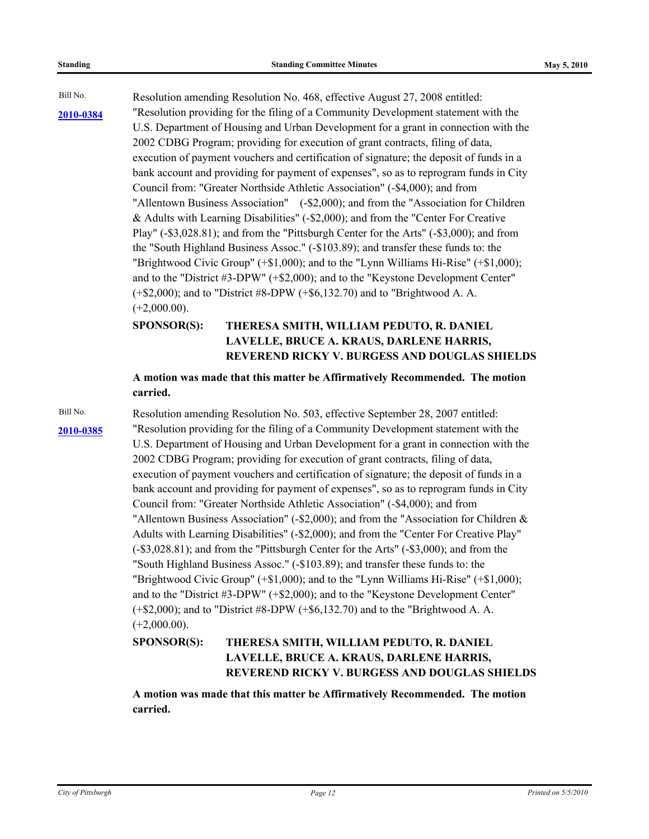Bill No. Resolution amending Resolution No. 468, effective August 27, 2008 entitled: "Resolution providing for the filing of a Community Development statement with the **[2010-0384](http://pittsburgh.legistar.com/gateway.aspx?M=L&ID=12920)** U.S. Department of Housing and Urban Development for a grant in connection with the 2002 CDBG Program; providing for execution of grant contracts, filing of data, execution of payment vouchers and certification of signature; the deposit of funds in a bank account and providing for payment of expenses", so as to reprogram funds in City Council from: "Greater Northside Athletic Association" (-\$4,000); and from "Allentown Business Association" (-\$2,000); and from the "Association for Children & Adults with Learning Disabilities" (-\$2,000); and from the "Center For Creative Play" (-\$3,028.81); and from the "Pittsburgh Center for the Arts" (-\$3,000); and from the "South Highland Business Assoc." (-\$103.89); and transfer these funds to: the "Brightwood Civic Group" (+\$1,000); and to the "Lynn Williams Hi-Rise" (+\$1,000); and to the "District #3-DPW" (+\$2,000); and to the "Keystone Development Center" (+\$2,000); and to "District #8-DPW (+\$6,132.70) and to "Brightwood A. A.  $(+2,000.00)$ .

#### **THERESA SMITH, WILLIAM PEDUTO, R. DANIEL LAVELLE, BRUCE A. KRAUS, DARLENE HARRIS, REVEREND RICKY V. BURGESS AND DOUGLAS SHIELDS SPONSOR(S):**

## **A motion was made that this matter be Affirmatively Recommended. The motion carried.**

Bill No. Resolution amending Resolution No. 503, effective September 28, 2007 entitled: [2010-0385](http://pittsburgh.legistar.com/gateway.aspx?M=L&ID=12921) **The Tensolution providing for the filing of a Community Development statement with the** U.S. Department of Housing and Urban Development for a grant in connection with the 2002 CDBG Program; providing for execution of grant contracts, filing of data, execution of payment vouchers and certification of signature; the deposit of funds in a bank account and providing for payment of expenses", so as to reprogram funds in City Council from: "Greater Northside Athletic Association" (-\$4,000); and from "Allentown Business Association" (-\$2,000); and from the "Association for Children & Adults with Learning Disabilities" (-\$2,000); and from the "Center For Creative Play" (-\$3,028.81); and from the "Pittsburgh Center for the Arts" (-\$3,000); and from the "South Highland Business Assoc." (-\$103.89); and transfer these funds to: the "Brightwood Civic Group" (+\$1,000); and to the "Lynn Williams Hi-Rise" (+\$1,000); and to the "District #3-DPW" (+\$2,000); and to the "Keystone Development Center" (+\$2,000); and to "District #8-DPW (+\$6,132.70) and to the "Brightwood A. A.  $(+2,000.00)$ .

#### **THERESA SMITH, WILLIAM PEDUTO, R. DANIEL LAVELLE, BRUCE A. KRAUS, DARLENE HARRIS, REVEREND RICKY V. BURGESS AND DOUGLAS SHIELDS SPONSOR(S):**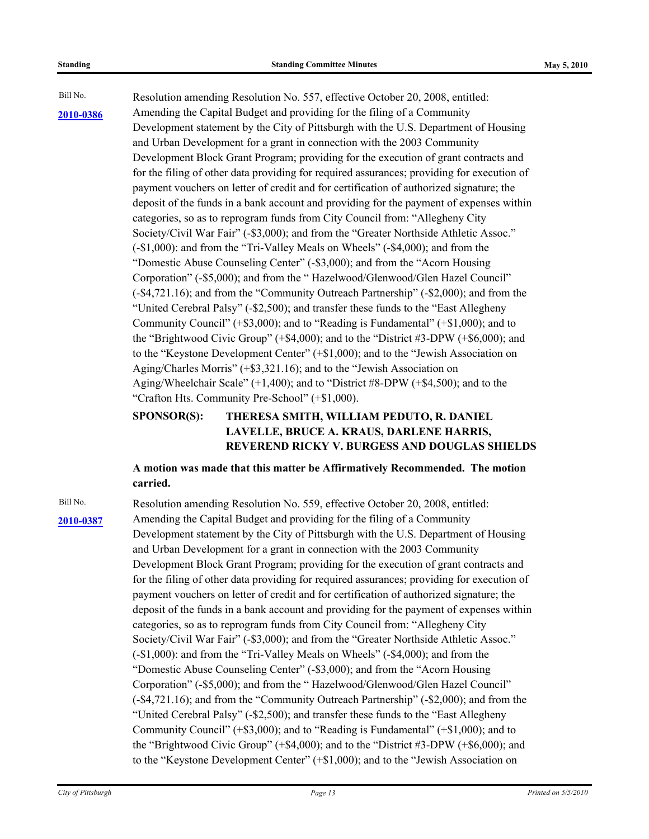Bill No. Resolution amending Resolution No. 557, effective October 20, 2008, entitled: Amending the Capital Budget and providing for the filing of a Community **[2010-0386](http://pittsburgh.legistar.com/gateway.aspx?M=L&ID=12922)** Development statement by the City of Pittsburgh with the U.S. Department of Housing and Urban Development for a grant in connection with the 2003 Community Development Block Grant Program; providing for the execution of grant contracts and for the filing of other data providing for required assurances; providing for execution of payment vouchers on letter of credit and for certification of authorized signature; the deposit of the funds in a bank account and providing for the payment of expenses within categories, so as to reprogram funds from City Council from: "Allegheny City Society/Civil War Fair" (-\$3,000); and from the "Greater Northside Athletic Assoc." (-\$1,000): and from the "Tri-Valley Meals on Wheels" (-\$4,000); and from the "Domestic Abuse Counseling Center" (-\$3,000); and from the "Acorn Housing Corporation" (-\$5,000); and from the " Hazelwood/Glenwood/Glen Hazel Council" (-\$4,721.16); and from the "Community Outreach Partnership" (-\$2,000); and from the "United Cerebral Palsy" (-\$2,500); and transfer these funds to the "East Allegheny Community Council" (+\$3,000); and to "Reading is Fundamental" (+\$1,000); and to the "Brightwood Civic Group" (+\$4,000); and to the "District #3-DPW (+\$6,000); and to the "Keystone Development Center" (+\$1,000); and to the "Jewish Association on Aging/Charles Morris" (+\$3,321.16); and to the "Jewish Association on Aging/Wheelchair Scale" (+1,400); and to "District #8-DPW (+\$4,500); and to the "Crafton Hts. Community Pre-School" (+\$1,000).

#### **THERESA SMITH, WILLIAM PEDUTO, R. DANIEL LAVELLE, BRUCE A. KRAUS, DARLENE HARRIS, REVEREND RICKY V. BURGESS AND DOUGLAS SHIELDS SPONSOR(S):**

**A motion was made that this matter be Affirmatively Recommended. The motion carried.**

Bill No. Resolution amending Resolution No. 559, effective October 20, 2008, entitled: Amending the Capital Budget and providing for the filing of a Community **[2010-0387](http://pittsburgh.legistar.com/gateway.aspx?M=L&ID=12923)** Development statement by the City of Pittsburgh with the U.S. Department of Housing and Urban Development for a grant in connection with the 2003 Community Development Block Grant Program; providing for the execution of grant contracts and for the filing of other data providing for required assurances; providing for execution of payment vouchers on letter of credit and for certification of authorized signature; the deposit of the funds in a bank account and providing for the payment of expenses within categories, so as to reprogram funds from City Council from: "Allegheny City Society/Civil War Fair" (-\$3,000); and from the "Greater Northside Athletic Assoc." (-\$1,000): and from the "Tri-Valley Meals on Wheels" (-\$4,000); and from the "Domestic Abuse Counseling Center" (-\$3,000); and from the "Acorn Housing Corporation" (-\$5,000); and from the " Hazelwood/Glenwood/Glen Hazel Council" (-\$4,721.16); and from the "Community Outreach Partnership" (-\$2,000); and from the "United Cerebral Palsy" (-\$2,500); and transfer these funds to the "East Allegheny Community Council" (+\$3,000); and to "Reading is Fundamental" (+\$1,000); and to the "Brightwood Civic Group" (+\$4,000); and to the "District #3-DPW (+\$6,000); and to the "Keystone Development Center" (+\$1,000); and to the "Jewish Association on